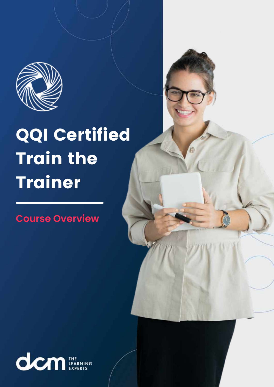

# QQI Certified Train the Trainer

**Course Overview**

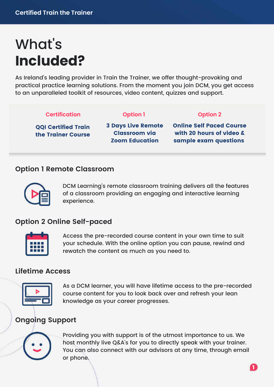## What' s **Included?**

As Ireland's leading provider in Train the Trainer, we offer thought-provoking and practical practice learning solutions. From the moment you join DCM, you get access to an unparalleled toolkit of resources, video content, quizzes and support.

#### **Certification**

#### **Option 1 Option 2**

QQI Certified Train the Trainer Course 3 Days Live Remote Classroom via Zoom Education

Online Self Paced Course with 20 hours of video & sample exam questions

#### **Option 1 Remote Classroom**



DCM Learning's remote classroom training delivers all the features of a classroom providing an engaging and interactive learning experience.

#### **Option 2 Online Self-paced**



Access the pre-recorded course content in your own time to suit your schedule. With the online option you can pause, rewind and rewatch the content as much as you need to.

#### **Lifetime Access**



As a DCM learner, you will have lifetime access to the pre-recorded course content for you to look back over and refresh your lean knowledge as your career progresses.

### **Ongoing Support**



Providing you with support is of the utmost importance to us. We host monthly live Q&A's for you to directly speak with your trainer. You can also connect with our advisors at any time, through email or phone.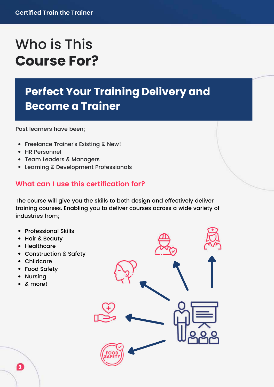### Who is This **Course For?**

### **Perfect Your Training Delivery and Become a Trainer**

Past learners have been;

- Freelance Trainer's Existing & New!
- HR Personnel
- Team Leaders & Managers
- Learning & Development Professionals

#### **What can I use this certification for?**

The course will give you the skills to both design and effectively deliver training courses. Enabling you to deliver courses across a wide variety of industries from;

- Professional Skills
- Hair & Beauty
- Healthcare
- Construction & Safety
- Childcare
- Food Safety
- Nursing
- & more!

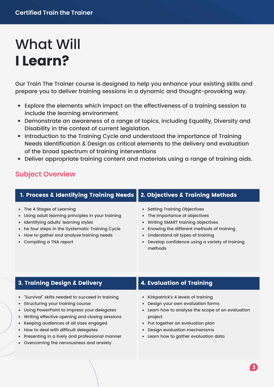### What Will **I Learn?**

Our Train The Trainer course is designed to help you enhance your existing skills and prepare you to deliver training sessions in a dynamic and thought-provoking way.

- Explore the elements which impact on the effectiveness of a training session to include the learning environment.
- Demonstrate an awareness of a range of topics, including Equality, Diversity and Disability in the context of current legislation.
- Introduction to the Training Cycle and understood the importance of Training Needs Identification & Design as critical elements to the delivery and evaluation of the broad spectrum of training interventions
- Deliver appropriate training content and materials using a range of training aids.

#### Subject Overview

| 1. Process & Identifying Training Needs   2. Objectives & Training Methods                                                                                                    |                                                                                                                                                       |  |
|-------------------------------------------------------------------------------------------------------------------------------------------------------------------------------|-------------------------------------------------------------------------------------------------------------------------------------------------------|--|
| • The 4 Stages of Learning<br>• Using adult learning principles in your training<br>• Identifying adults' learning styles<br>• he four steps in the Systematic Training Cycle | • Setting Training Objectives<br>• The importance of objectives<br>• Writing SMART training objectives<br>• Knowing the different methods of training |  |
| • How to gather and analyse training needs                                                                                                                                    | • Understand all types of training                                                                                                                    |  |
| • Compiling a TNA report                                                                                                                                                      | • Develop confidence using a variety of training                                                                                                      |  |

#### 3. Training Design & Delivery **4. Evaluation of Training**

- "Survival" skills needed to succeed in training
- Structuring your training course
- Using PowerPoint to impress your delegates
- Writing effective opening and closing sessions
- Keeping audiences of all sizes engaged
- How to deal with difficult delegates
- Presenting in a lively and professional manner
- Overcoming the nervousness and anxiety

methods

- Kirkpatrick's 4 levels of training
- Design your own evaluation forms
- Learn how to analyse the scope of an evaluation project
- Put together an evaluation plan
- Design evaluation mechanisms
- Learn how to gather evaluation data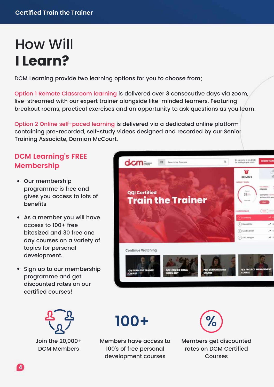### How Will **I Learn?**

DCM Learning provide two learning options for you to choose from;

Option 1 Remote Classroom learning is delivered over 3 consecutive days via zoom, live-streamed with our expert trainer alongside like-minded learners. Featuring breakout rooms, practical exercises and an opportunity to ask questions as you learn.

Option 2 Online self-paced learning is delivered via a dedicated online platform containing pre-recorded, self-study videos designed and recorded by our Senior Training Associate, Damian McCourt.

### **DCM Learning's FREE Membership**

- Our membership programme is free and gives you access to lots of benefits
- As a member you will have access to 100+ free bitesized and 30 free one day courses on a variety of topics for personal development.
- Sign up to our membership programme and get discounted rates on our certified courses!



Join the 20,000+ DCM Members





Members have access to 100's of free personal development courses



Members get discounted rates on DCM Certified Courses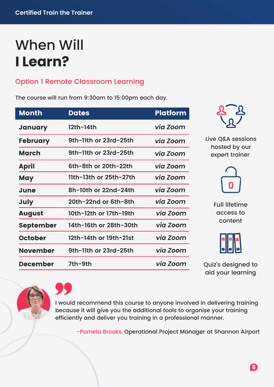### When Will **I Learn?**

### Option 1 Remote Classroom Learning

The course will run from 9:30am to 15:00pm each day.

| <u>Month</u>    | <b>Dates</b>           | <b>Platform</b> |
|-----------------|------------------------|-----------------|
| January         | 12th-14th              | via Zoom        |
| <b>February</b> | 9th-11th or 23rd-25th  | via Zoom        |
| March           | 9th-11th or 23rd-25th  | via Zoom        |
| <b>April</b>    | 6th-8th or 20th-22th   | via Zoom        |
| <b>May</b>      | 11th-13th or 25th-27th | via Zoom        |
| <b>June</b>     | 8h-10th or 22nd-24th   | via Zoom        |
| <b>July</b>     | 20th-22nd or 6th-8th   | via Zoom        |
| <b>August</b>   | 10th-12th or 17th-19th | via Zoom        |
| September       | 14th-16th or 28th-30th | via Zoom        |
| <b>October</b>  | 12th-14th or 19th-21st | via Zoom        |
| <b>November</b> | 9th-11th or 23rd-25th  | via Zoom        |
| <b>December</b> | 7th-9th                | via Zoom        |



Live Q&A sessions hosted by our expert trainer



Full lifetime access to content

Quiz's designed to aid your learning

I would recommend this course to anyone involved in delivering training because it will give you the additional tools to organise your training efficiently and deliver you training in a professional manner.

-Pamela Brooks, Operational Project Manager at Shannon Airport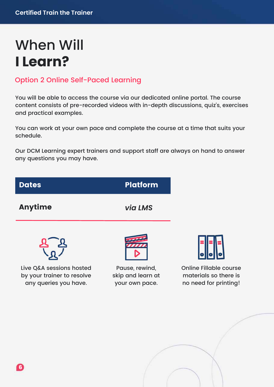### When Will **I Learn?**

### Option 2 Online Self-Paced Learning

You will be able to access the course via our dedicated online portal. The course content consists of pre-recorded videos with in-depth discussions, quiz's, exercises and practical examples.

You can work at your own pace and complete the course at a time that suits your schedule.

Our DCM Learning expert trainers and support staff are always on hand to answer any questions you may have.

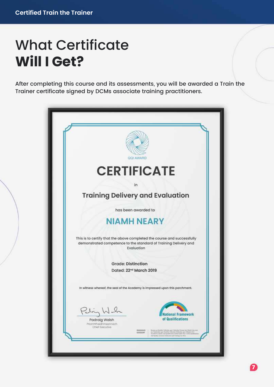### What Certificate **Will I Get?**

After completing this course and its assessments, you will be awarded a Train the Trainer certificate signed by DCMs associate training practitioners.

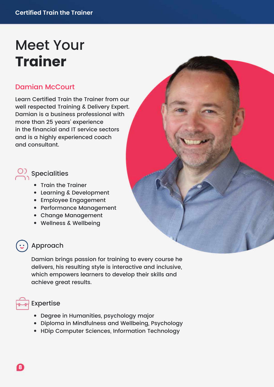### Meet Your **Trainer**

#### Damian McCourt

Learn Certified Train the Trainer from our well respected Training & Delivery Expert. Damian is a business professional with more than 25 years' experience in the financial and IT service sectors and is a highly experienced coach and consultant.

- $\overline{\mathcal{O}}$  Specialities
	- Train the Trainer
	- Learning & Development
	- Employee Engagement
	- Performance Management
	- Change Management
	- Wellness & Wellbeing

#### Approach

Damian brings passion for training to every course he delivers, his resulting style is interactive and inclusive, which empowers learners to develop their skills and achieve great results.



- Degree in Humanities, psychology major
- Diploma in Mindfulness and Wellbeing, Psychology
- HDip Computer Sciences, Information Technology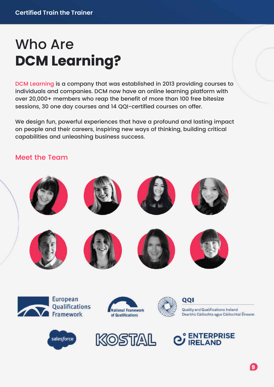### Who Are **DCM Learning?**

DCM Learning is a company that was established in 2013 providing courses to individuals and companies. DCM now have an online learning platform with over 20,000+ members who reap the benefit of more than 100 free bitesize sessions, 30 one day courses and 14 QQI-certified courses on offer.

We design fun, powerful experiences that have a profound and lasting impact on people and their careers, inspiring new ways of thinking, building critical capabilities and unleashing business success.

#### Meet the Team







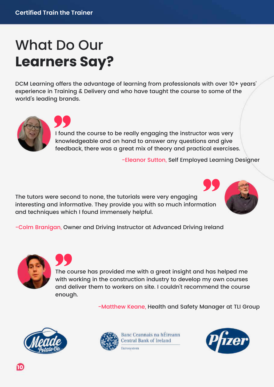### What Do Our **Learners Say?**

DCM Learning offers the advantage of learning from professionals with over 10+ years' experience in Training & Delivery and who have taught the course to some of the world's leading brands.



I found the course to be really engaging the instructor was very knowledgeable and on hand to answer any questions and give feedback, there was a great mix of theory and practical exercises.

-Eleanor Sutton, Self Employed Learning Designer

The tutors were second to none, the tutorials were very engaging interesting and informative. They provide you with so much information and techniques which I found immensely helpful.



-Colm Branigan, Owner and Driving Instructor at Advanced Driving Ireland



The course has provided me with a great insight and has helped me with working in the construction industry to develop my own courses and deliver them to workers on site. I couldn't recommend the course enough.

-Matthew Keane, Health and Safety Manager at TLI Group





Banc Ceannais na hÉireann **Central Bank of Ireland** Eurosystem